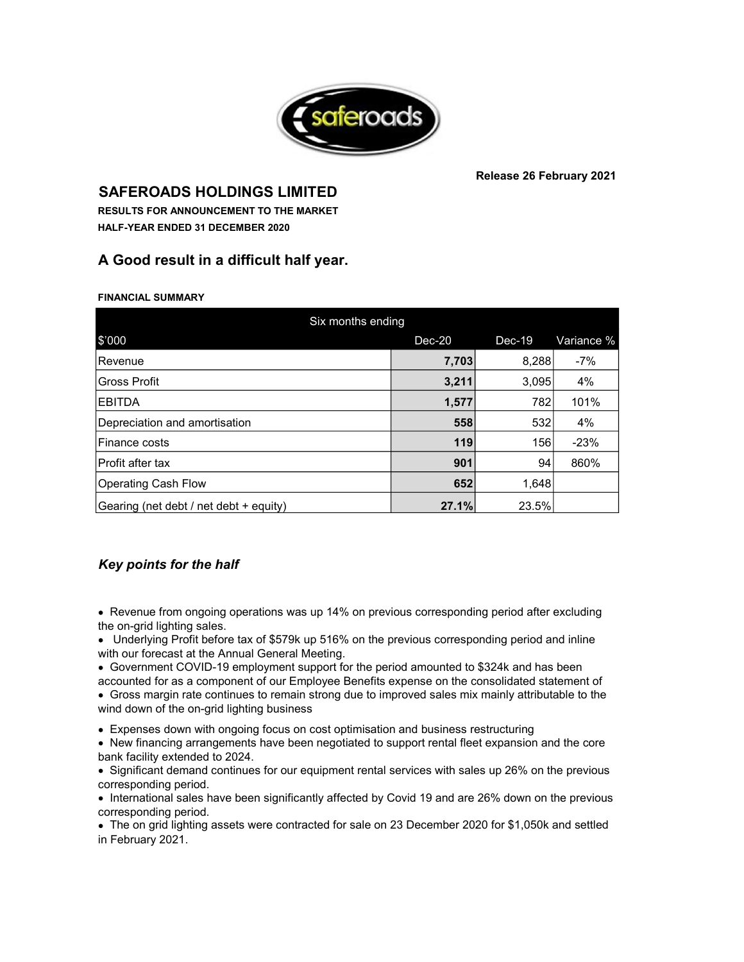

### **Release 26 February 2021**

**SAFEROADS HOLDINGS LIMITED HALF-YEAR ENDED 31 DECEMBER 2020 RESULTS FOR ANNOUNCEMENT TO THE MARKET** 

## **A Good result in a difficult half year.**

**FINANCIAL SUMMARY**

| Six months ending                      |          |          |            |  |
|----------------------------------------|----------|----------|------------|--|
| \$'000                                 | $Dec-20$ | $Dec-19$ | Variance % |  |
| l Revenue                              | 7,703    | 8,288    | $-7%$      |  |
| Gross Profit                           | 3,211    | 3,095    | 4%         |  |
| <b>IEBITDA</b>                         | 1,577    | 782      | 101%       |  |
| Depreciation and amortisation          | 558      | 532      | 4%         |  |
| Finance costs                          | 119      | 156      | $-23%$     |  |
| <b>Profit after tax</b>                | 901      | 94       | 860%       |  |
| Operating Cash Flow                    | 652      | 1,648    |            |  |
| Gearing (net debt / net debt + equity) | 27.1%    | 23.5%    |            |  |

## *Key points for the half*

• Revenue from ongoing operations was up 14% on previous corresponding period after excluding the on-grid lighting sales.

• Underlying Profit before tax of \$579k up 516% on the previous corresponding period and inline with our forecast at the Annual General Meeting.

- Government COVID-19 employment support for the period amounted to \$324k and has been
- accounted for as a component of our Employee Benefits expense on the consolidated statement of • Gross margin rate continues to remain strong due to improved sales mix mainly attributable to the

wind down of the on-grid lighting business

**• Expenses down with ongoing focus on cost optimisation and business restructuring** 

• New financing arrangements have been negotiated to support rental fleet expansion and the core bank facility extended to 2024.

• Significant demand continues for our equipment rental services with sales up 26% on the previous corresponding period.

• International sales have been significantly affected by Covid 19 and are 26% down on the previous corresponding period.

• The on grid lighting assets were contracted for sale on 23 December 2020 for \$1,050k and settled in February 2021.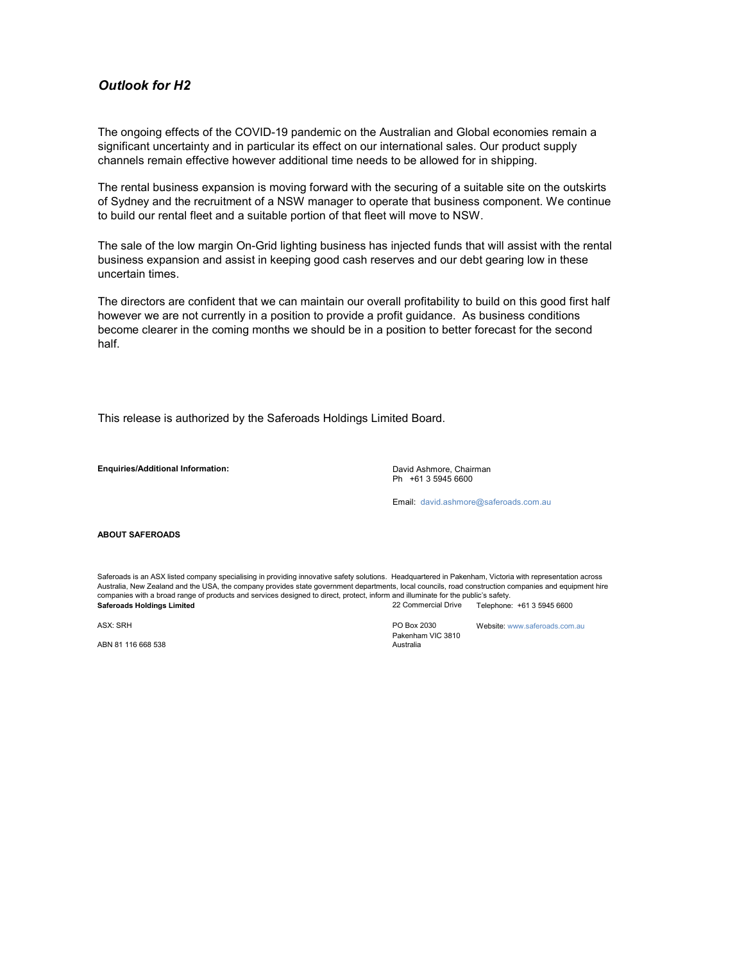### *Outlook for H2*

The ongoing effects of the COVID-19 pandemic on the Australian and Global economies remain a significant uncertainty and in particular its effect on our international sales. Our product supply channels remain effective however additional time needs to be allowed for in shipping.

The rental business expansion is moving forward with the securing of a suitable site on the outskirts of Sydney and the recruitment of a NSW manager to operate that business component. We continue to build our rental fleet and a suitable portion of that fleet will move to NSW.

The sale of the low margin On-Grid lighting business has injected funds that will assist with the rental business expansion and assist in keeping good cash reserves and our debt gearing low in these uncertain times.

The directors are confident that we can maintain our overall profitability to build on this good first half however we are not currently in a position to provide a profit guidance. As business conditions become clearer in the coming months we should be in a position to better forecast for the second half.

This release is authorized by the Saferoads Holdings Limited Board.

**Enquiries/Additional Information:**

Ph +61 3 5945 6600 David Ashmore, Chairman

Email: david.ashmore@saferoads.com.au

### **ABOUT SAFEROADS**

**Saferoads Holdings Limited** 22 Commercial Drive Saferoads is an ASX listed company specialising in providing innovative safety solutions. Headquartered in Pakenham, Victoria with representation across Australia, New Zealand and the USA, the company provides state government departments, local councils, road construction companies and equipment hire companies with a broad range of products and services designed to direct, protect, inform and illuminate for the public's safety. Telephone: +61 3 5945 6600

ABN 81 116 668 538

ASX: SRH PO Box 2030 Pakenham VIC 3810

Australia

Website: www.saferoads.com.au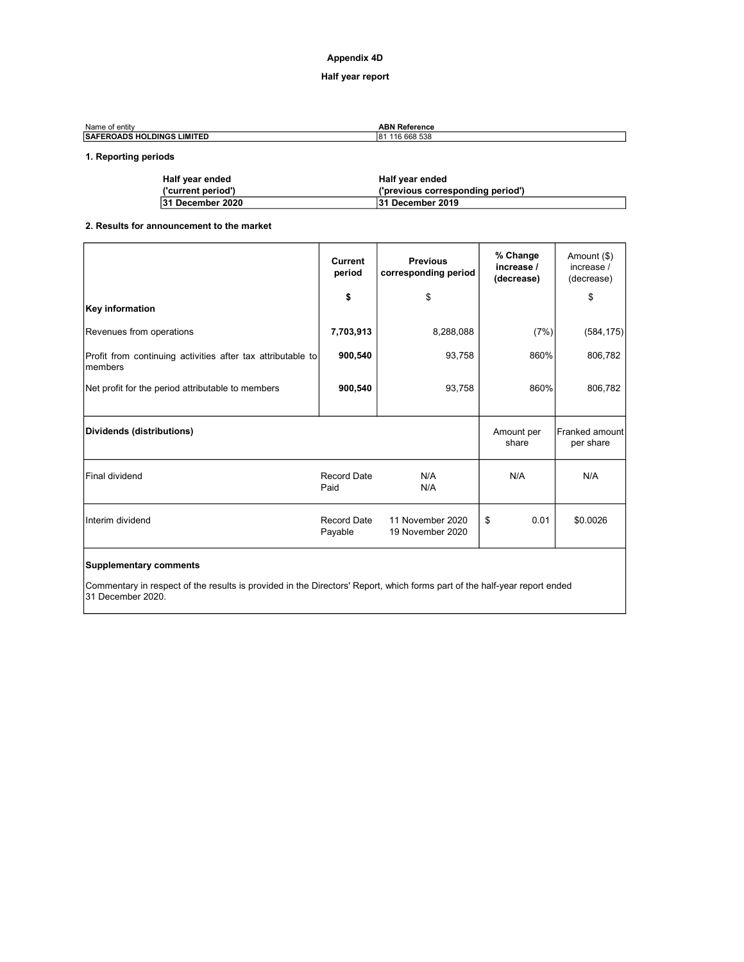### **Appendix 4D**

### **Half year report**

| Name of entity                     | <b>ABN Reference</b> |
|------------------------------------|----------------------|
| <b>ISAFEROADS HOLDINGS LIMITED</b> | 116 668 538<br>l81   |

### **1. Reporting periods**

| Half year ended    | Half year ended                   |
|--------------------|-----------------------------------|
| ('current period') | ('previous corresponding period') |
| 31 December 2020   | 31 December 2019                  |

### **2. Results for announcement to the market**

|                                                                         | <b>Current</b><br>period | <b>Previous</b><br>corresponding period | % Change<br>increase /<br>(decrease) | Amount (\$)<br>increase /<br>(decrease) |
|-------------------------------------------------------------------------|--------------------------|-----------------------------------------|--------------------------------------|-----------------------------------------|
| Key information                                                         | \$                       | \$                                      |                                      | \$                                      |
| Revenues from operations                                                | 7,703,913                | 8,288,088                               | (7%)                                 | (584, 175)                              |
| Profit from continuing activities after tax attributable to<br>Imembers | 900,540                  | 93,758                                  | 860%                                 | 806,782                                 |
| Net profit for the period attributable to members                       | 900,540                  | 93,758                                  | 860%                                 | 806,782                                 |
| Dividends (distributions)                                               |                          |                                         | Amount per<br>share                  | Franked amount<br>per share             |
| <b>Final dividend</b>                                                   | Record Date<br>Paid      | N/A<br>N/A                              | N/A                                  | N/A                                     |
| Interim dividend                                                        | Record Date<br>Payable   | 11 November 2020<br>19 November 2020    | 0.01<br>\$                           | \$0.0026                                |
|                                                                         |                          |                                         |                                      |                                         |

### **Supplementary comments**

Commentary in respect of the results is provided in the Directors' Report, which forms part of the half-year report ended 31 December 2020.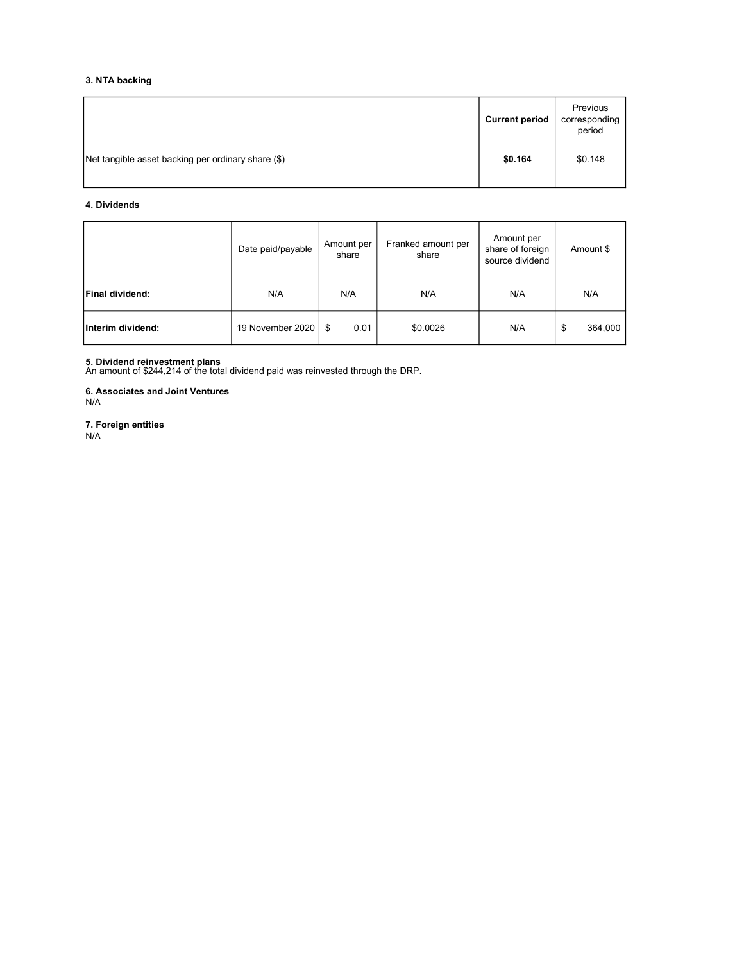### **3. NTA backing**

|                                                    | <b>Current period</b> | Previous<br>corresponding<br>period |
|----------------------------------------------------|-----------------------|-------------------------------------|
| Net tangible asset backing per ordinary share (\$) | \$0.164               | \$0.148                             |

### **4. Dividends**

|                   | Date paid/payable | Amount per<br>share | Franked amount per<br>share | Amount per<br>share of foreign<br>source dividend | Amount \$     |
|-------------------|-------------------|---------------------|-----------------------------|---------------------------------------------------|---------------|
| Final dividend:   | N/A               | N/A                 | N/A                         | N/A                                               | N/A           |
| Interim dividend: | 19 November 2020  | 0.01<br>- \$        | \$0.0026                    | N/A                                               | 364,000<br>\$ |

**5. Dividend reinvestment plans** An amount of \$244,214 of the total dividend paid was reinvested through the DRP.

**6. Associates and Joint Ventures** N/A

**7. Foreign entities** N/A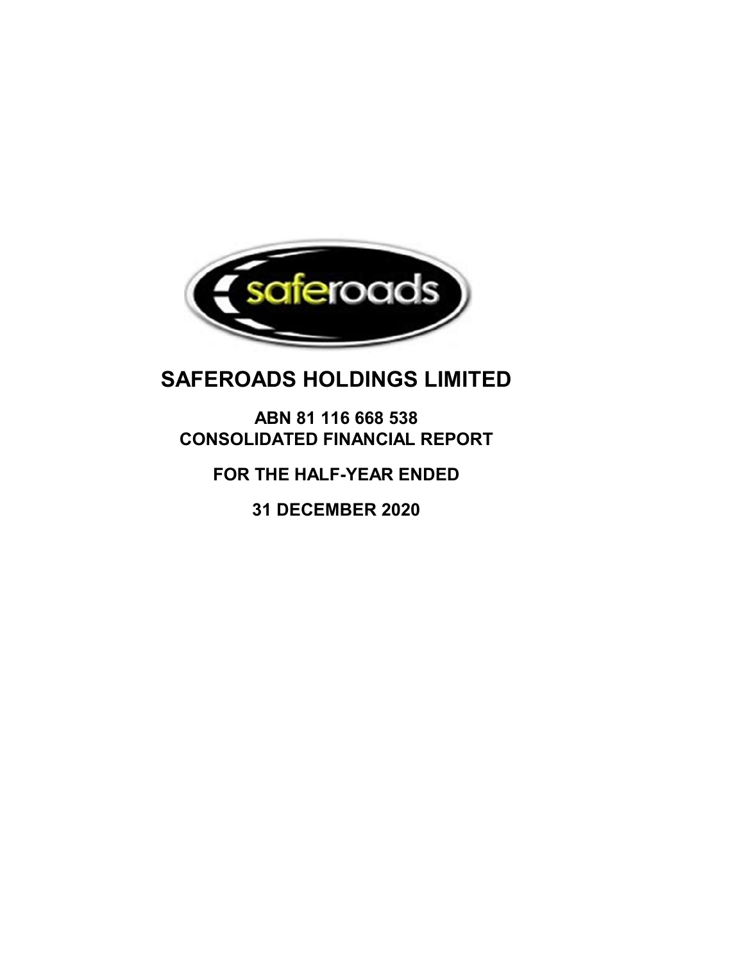

# **ABN 81 116 668 538 CONSOLIDATED FINANCIAL REPORT**

## **FOR THE HALF-YEAR ENDED**

**31 DECEMBER 2020**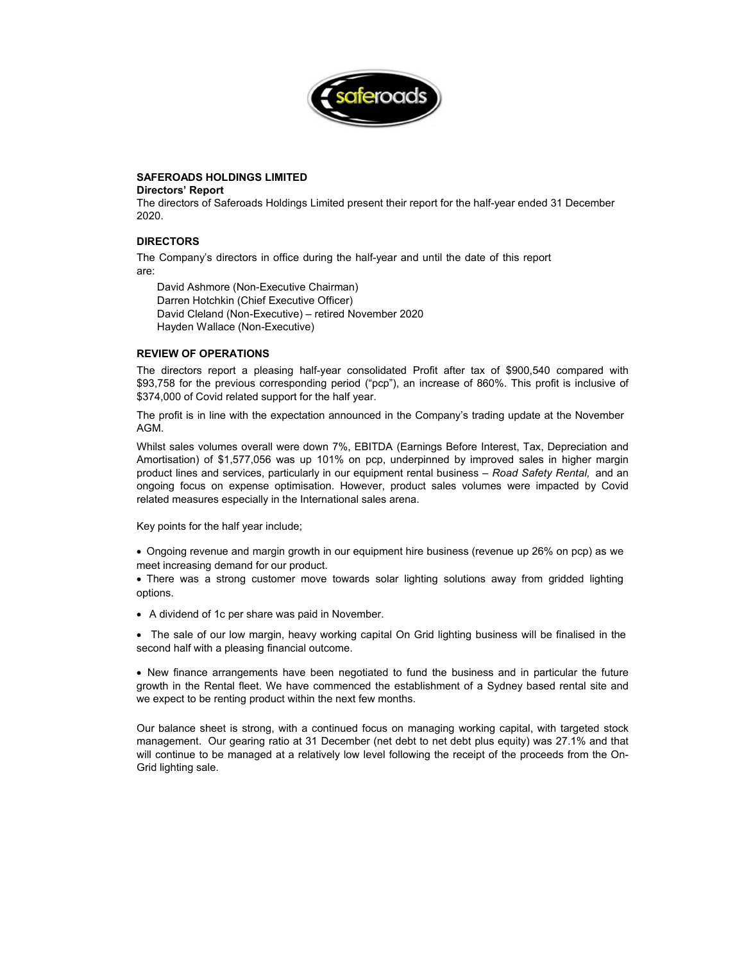

### **Directors' Report**

The directors of Saferoads Holdings Limited present their report for the half-year ended 31 December 2020.

### **DIRECTORS**

The Company's directors in office during the half-year and until the date of this report are:

 David Ashmore (Non-Executive Chairman) Darren Hotchkin (Chief Executive Officer) David Cleland (Non-Executive) – retired November 2020 Hayden Wallace (Non-Executive)

### **REVIEW OF OPERATIONS**

The directors report a pleasing half-year consolidated Profit after tax of \$900,540 compared with \$93,758 for the previous corresponding period ("pcp"), an increase of 860%. This profit is inclusive of \$374,000 of Covid related support for the half year.

The profit is in line with the expectation announced in the Company's trading update at the November AGM.

Whilst sales volumes overall were down 7%, EBITDA (Earnings Before Interest, Tax, Depreciation and Amortisation) of \$1,577,056 was up 101% on pcp, underpinned by improved sales in higher margin product lines and services, particularly in our equipment rental business – *Road Safety Rental,* and an ongoing focus on expense optimisation. However, product sales volumes were impacted by Covid related measures especially in the International sales arena.

Key points for the half year include;

• Ongoing revenue and margin growth in our equipment hire business (revenue up 26% on pcp) as we meet increasing demand for our product.

• There was a strong customer move towards solar lighting solutions away from gridded lighting options.

• A dividend of 1c per share was paid in November.

• The sale of our low margin, heavy working capital On Grid lighting business will be finalised in the second half with a pleasing financial outcome.

• New finance arrangements have been negotiated to fund the business and in particular the future growth in the Rental fleet. We have commenced the establishment of a Sydney based rental site and we expect to be renting product within the next few months.

Our balance sheet is strong, with a continued focus on managing working capital, with targeted stock management. Our gearing ratio at 31 December (net debt to net debt plus equity) was 27.1% and that will continue to be managed at a relatively low level following the receipt of the proceeds from the On-Grid lighting sale.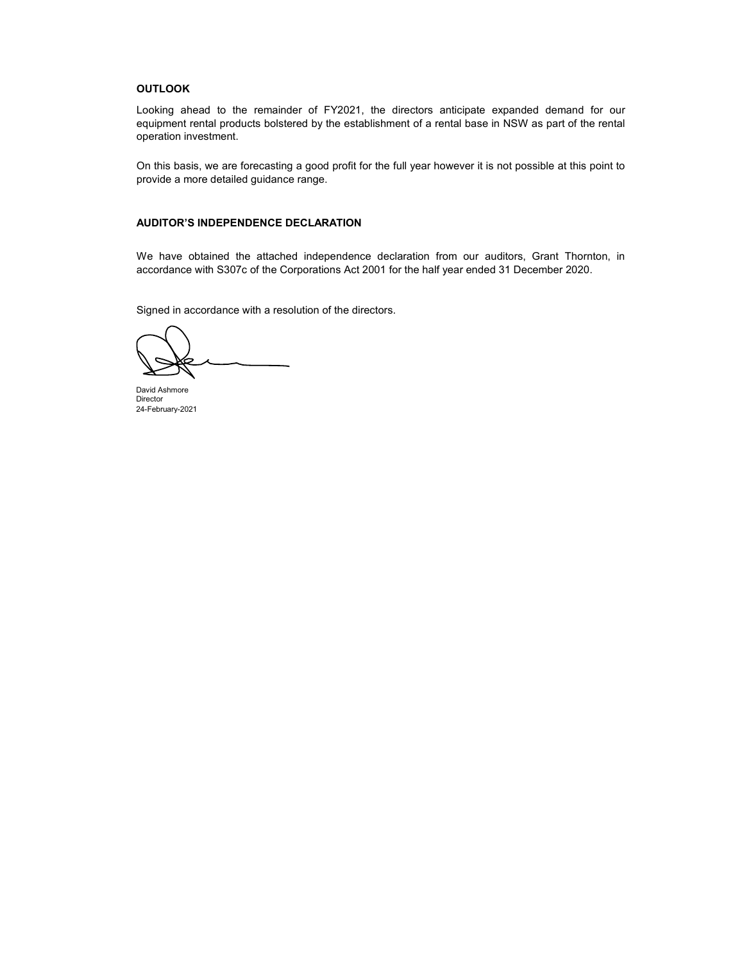### **OUTLOOK**

Looking ahead to the remainder of FY2021, the directors anticipate expanded demand for our equipment rental products bolstered by the establishment of a rental base in NSW as part of the rental operation investment.

On this basis, we are forecasting a good profit for the full year however it is not possible at this point to provide a more detailed guidance range.

### **AUDITOR'S INDEPENDENCE DECLARATION**

We have obtained the attached independence declaration from our auditors, Grant Thornton, in accordance with S307c of the Corporations Act 2001 for the half year ended 31 December 2020.

Signed in accordance with a resolution of the directors.

David Ashmore Director 24-February-2021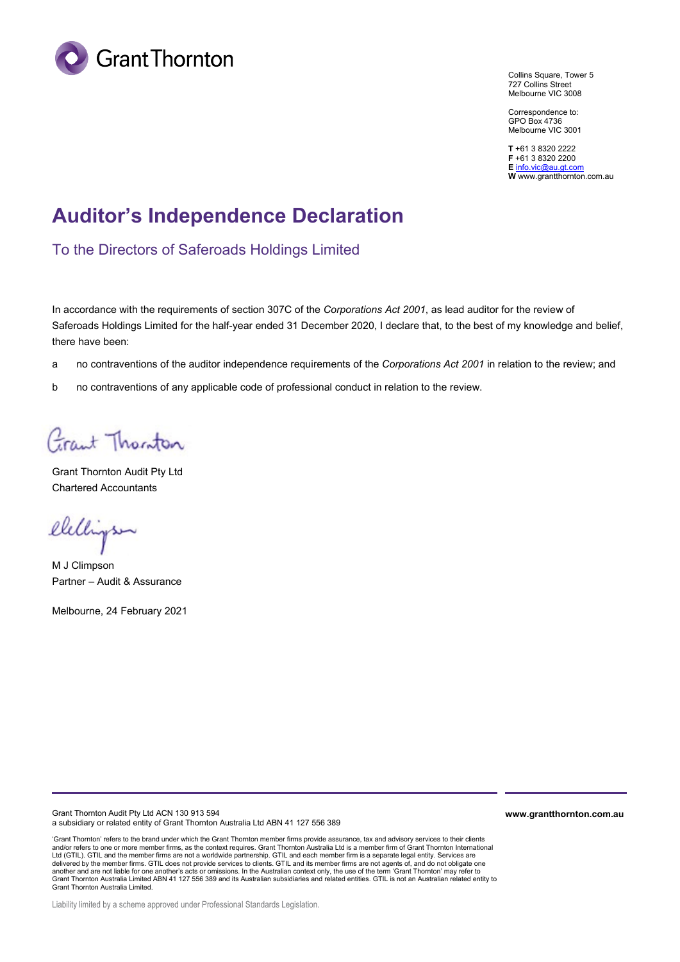

Collins Square, Tower 5 727 Collins Street Melbourne VIC 3008

Correspondence to: GPO Box 4736 Melbourne VIC 3001

**T** +61 3 8320 2222 **F** +61 3 8320 2200 **E** [info.vic@au.gt.com](mailto:info.vic@au.gt.com) **W** www.grantthornton.com.au

# **Auditor's Independence Declaration**

To the Directors of Saferoads Holdings Limited

In accordance with the requirements of section 307C of the *Corporations Act 2001*, as lead auditor for the review of Saferoads Holdings Limited for the half-year ended 31 December 2020, I declare that, to the best of my knowledge and belief, there have been:

- a no contraventions of the auditor independence requirements of the *Corporations Act 2001* in relation to the review; and
- b no contraventions of any applicable code of professional conduct in relation to the review.

Grant Thorston

Grant Thornton Audit Pty Ltd Chartered Accountants

elelligsen

M J Climpson Partner – Audit & Assurance

Melbourne, 24 February 2021

Grant Thornton Audit Pty Ltd ACN 130 913 594 a subsidiary or related entity of Grant Thornton Australia Ltd ABN 41 127 556 389

'Grant Thornton' refers to the brand under which the Grant Thornton member firms provide assurance, tax and advisory services to their clients and/or refers to one or more member firms, as the context requires. Grant Thornton Australia Ltd is a member firm of Grant Thornton International Ltd (GTIL). GTIL and the member firms are not a worldwide partnership. GTIL and each member firm is a separate legal entity. Services are delivered by the member firms. GTIL does not provide services to clients. GTIL and its member firms are not agents of, and do not obligate one another and are not liable for one another's acts or omissions. In the Australian context only, the use of the term 'Grant Thornton' may refer to<br>Grant Thornton Australia Limited ABN 41 127 556 389 and its Australian subsi Grant Thornton Australia Limited.

**www.grantthornton.com.au**

Liability limited by a scheme approved under Professional Standards Legislation.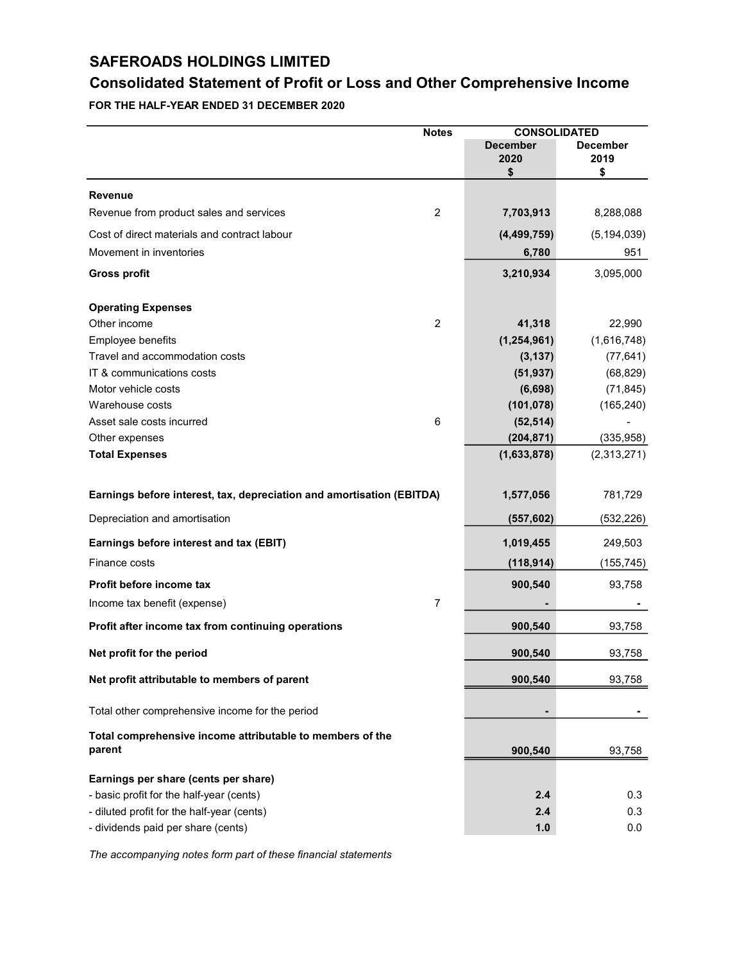## **Consolidated Statement of Profit or Loss and Other Comprehensive Income**

**FOR THE HALF-YEAR ENDED 31 DECEMBER 2020**

|                                                                       | <b>CONSOLIDATED</b><br><b>Notes</b> |                               |                               |
|-----------------------------------------------------------------------|-------------------------------------|-------------------------------|-------------------------------|
|                                                                       |                                     | <b>December</b><br>2020<br>\$ | <b>December</b><br>2019<br>\$ |
| Revenue                                                               |                                     |                               |                               |
| Revenue from product sales and services                               | $\overline{2}$                      | 7,703,913                     | 8,288,088                     |
| Cost of direct materials and contract labour                          |                                     | (4, 499, 759)                 | (5, 194, 039)                 |
| Movement in inventories                                               |                                     | 6,780                         | 951                           |
| <b>Gross profit</b>                                                   |                                     | 3,210,934                     | 3,095,000                     |
| <b>Operating Expenses</b>                                             |                                     |                               |                               |
| Other income                                                          | $\overline{2}$                      | 41,318                        | 22,990                        |
| Employee benefits                                                     |                                     | (1, 254, 961)                 | (1,616,748)                   |
| Travel and accommodation costs                                        |                                     | (3, 137)                      | (77, 641)                     |
| IT & communications costs                                             |                                     | (51, 937)                     | (68, 829)                     |
| Motor vehicle costs                                                   |                                     | (6,698)                       | (71, 845)                     |
| Warehouse costs                                                       |                                     | (101, 078)                    | (165, 240)                    |
| Asset sale costs incurred                                             | 6                                   | (52, 514)                     |                               |
| Other expenses                                                        |                                     | (204, 871)                    | (335, 958)                    |
| <b>Total Expenses</b>                                                 |                                     | (1,633,878)                   | (2,313,271)                   |
| Earnings before interest, tax, depreciation and amortisation (EBITDA) |                                     | 1,577,056                     | 781,729                       |
| Depreciation and amortisation                                         |                                     | (557, 602)                    | (532, 226)                    |
| Earnings before interest and tax (EBIT)                               |                                     | 1,019,455                     | 249,503                       |
| Finance costs                                                         |                                     | (118, 914)                    | (155, 745)                    |
| Profit before income tax                                              |                                     | 900,540                       | 93,758                        |
| Income tax benefit (expense)                                          | $\overline{7}$                      |                               |                               |
| Profit after income tax from continuing operations                    |                                     | 900,540                       | 93,758                        |
| Net profit for the period                                             |                                     | 900,540                       | 93,758                        |
| Net profit attributable to members of parent                          |                                     | 900,540                       | 93,758                        |
| Total other comprehensive income for the period                       |                                     | -                             |                               |
| Total comprehensive income attributable to members of the<br>parent   |                                     | 900,540                       | 93,758                        |
| Earnings per share (cents per share)                                  |                                     |                               |                               |
| - basic profit for the half-year (cents)                              |                                     | 2.4                           | 0.3                           |
| - diluted profit for the half-year (cents)                            |                                     | 2.4                           | 0.3                           |
| - dividends paid per share (cents)                                    |                                     | 1.0                           | 0.0                           |
|                                                                       |                                     |                               |                               |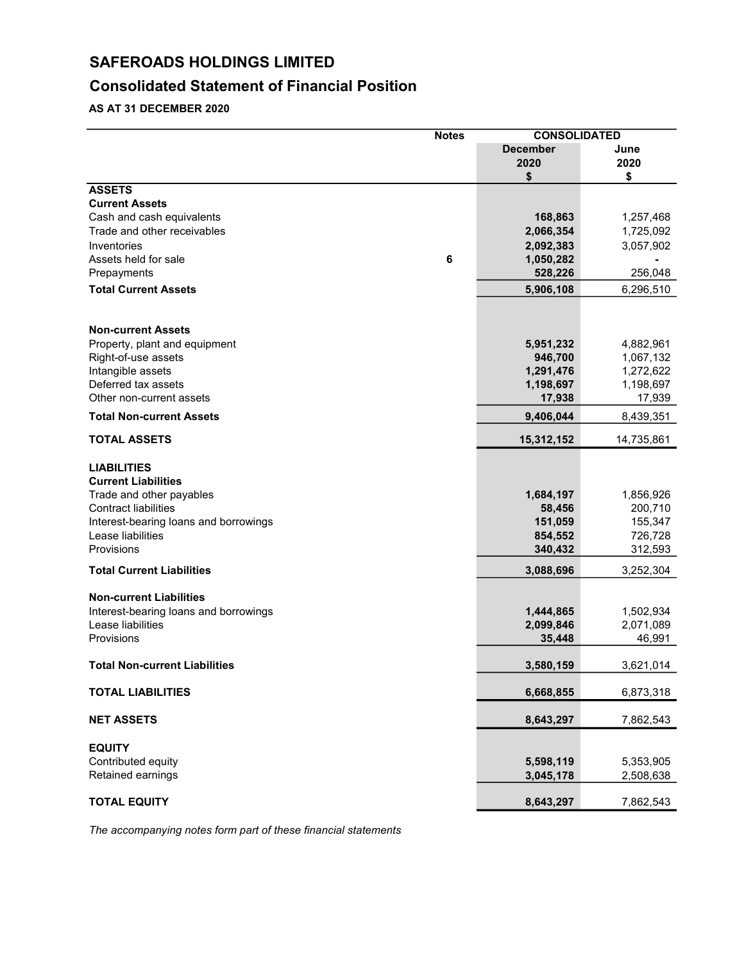## **Consolidated Statement of Financial Position**

**AS AT 31 DECEMBER 2020**

|                                                                              | <b>Notes</b> | <b>CONSOLIDATED</b> |            |
|------------------------------------------------------------------------------|--------------|---------------------|------------|
|                                                                              |              | <b>December</b>     | June       |
|                                                                              |              | 2020                | 2020       |
|                                                                              |              | \$                  | \$         |
| <b>ASSETS</b>                                                                |              |                     |            |
| <b>Current Assets</b>                                                        |              |                     |            |
| Cash and cash equivalents                                                    |              | 168,863             | 1,257,468  |
| Trade and other receivables                                                  |              | 2,066,354           | 1,725,092  |
| Inventories                                                                  |              | 2,092,383           | 3,057,902  |
| Assets held for sale                                                         | 6            | 1,050,282           |            |
| Prepayments                                                                  |              | 528,226             | 256,048    |
| <b>Total Current Assets</b>                                                  |              | 5,906,108           | 6,296,510  |
| <b>Non-current Assets</b>                                                    |              |                     |            |
| Property, plant and equipment                                                |              | 5,951,232           | 4,882,961  |
| Right-of-use assets                                                          |              | 946,700             | 1,067,132  |
| Intangible assets                                                            |              | 1,291,476           | 1,272,622  |
| Deferred tax assets                                                          |              | 1,198,697           | 1,198,697  |
| Other non-current assets                                                     |              | 17,938              | 17,939     |
| <b>Total Non-current Assets</b>                                              |              | 9,406,044           | 8,439,351  |
| <b>TOTAL ASSETS</b>                                                          |              | 15,312,152          | 14,735,861 |
| <b>LIABILITIES</b><br><b>Current Liabilities</b><br>Trade and other payables |              | 1,684,197           | 1,856,926  |
| <b>Contract liabilities</b>                                                  |              | 58,456              | 200,710    |
| Interest-bearing loans and borrowings                                        |              | 151,059             | 155,347    |
| Lease liabilities                                                            |              | 854,552             | 726,728    |
| Provisions                                                                   |              | 340,432             | 312,593    |
| <b>Total Current Liabilities</b>                                             |              | 3,088,696           | 3,252,304  |
| <b>Non-current Liabilities</b>                                               |              |                     |            |
| Interest-bearing loans and borrowings                                        |              | 1,444,865           | 1,502,934  |
| Lease liabilities                                                            |              | 2,099,846           | 2,071,089  |
| Provisions                                                                   |              | 35,448              | 46,991     |
| <b>Total Non-current Liabilities</b>                                         |              | 3,580,159           | 3,621,014  |
| <b>TOTAL LIABILITIES</b>                                                     |              | 6,668,855           | 6,873,318  |
| <b>NET ASSETS</b>                                                            |              | 8,643,297           | 7,862,543  |
|                                                                              |              |                     |            |
| <b>EQUITY</b>                                                                |              |                     |            |
| Contributed equity                                                           |              | 5,598,119           | 5,353,905  |
| Retained earnings                                                            |              | 3,045,178           | 2,508,638  |
| <b>TOTAL EQUITY</b>                                                          |              | 8,643,297           | 7,862,543  |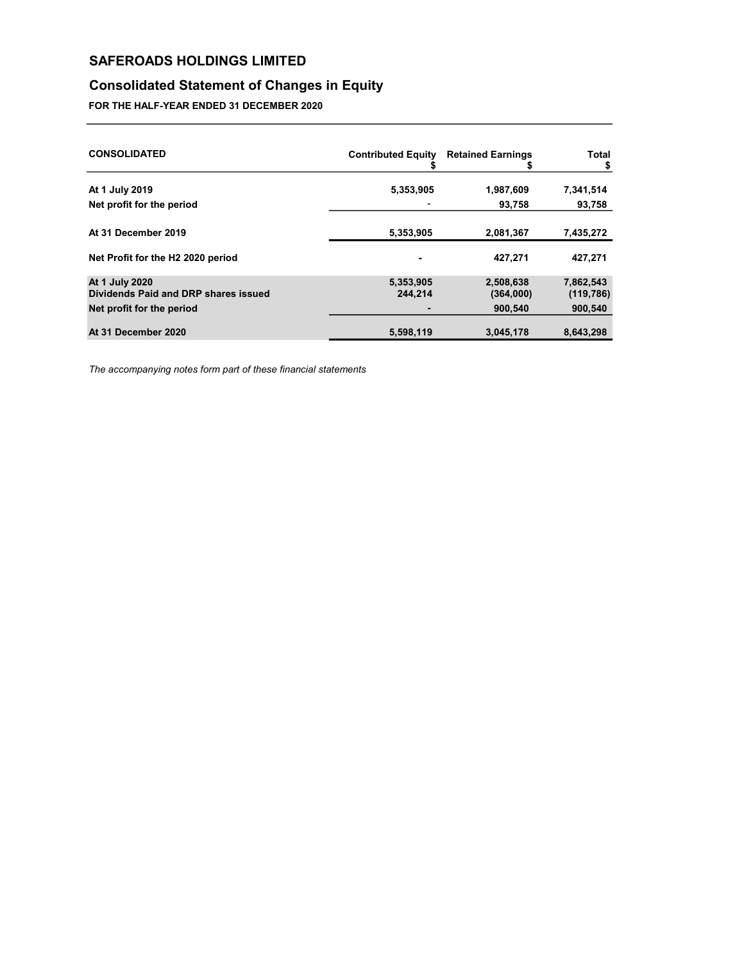## **Consolidated Statement of Changes in Equity**

**FOR THE HALF-YEAR ENDED 31 DECEMBER 2020**

| <b>CONSOLIDATED</b>                                                                 | <b>Contributed Equity</b><br>ъ | <b>Retained Earnings</b><br>ъ     | Total<br>\$                        |
|-------------------------------------------------------------------------------------|--------------------------------|-----------------------------------|------------------------------------|
| At 1 July 2019                                                                      | 5,353,905                      | 1,987,609                         | 7,341,514                          |
| Net profit for the period                                                           |                                | 93,758                            | 93,758                             |
| At 31 December 2019                                                                 | 5,353,905                      | 2,081,367                         | 7,435,272                          |
| Net Profit for the H2 2020 period                                                   |                                | 427,271                           | 427,271                            |
| At 1 July 2020<br>Dividends Paid and DRP shares issued<br>Net profit for the period | 5,353,905<br>244.214<br>٠      | 2,508,638<br>(364,000)<br>900,540 | 7,862,543<br>(119, 786)<br>900,540 |
| At 31 December 2020                                                                 | 5,598,119                      | 3,045,178                         | 8,643,298                          |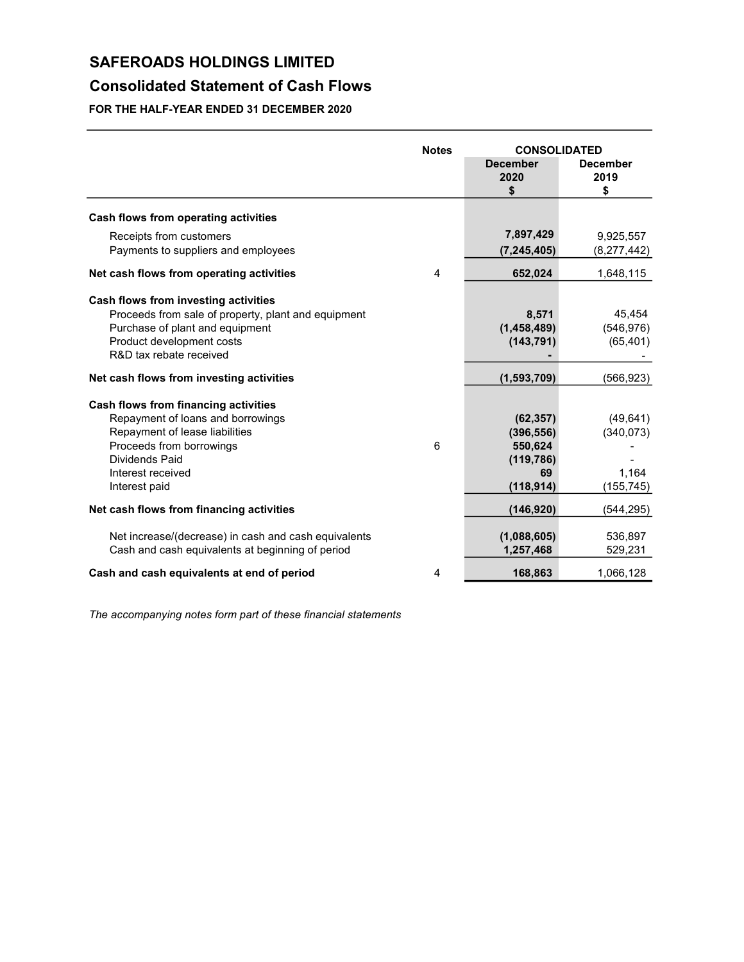## **Consolidated Statement of Cash Flows**

**FOR THE HALF-YEAR ENDED 31 DECEMBER 2020**

|                                                                                                                                                                                                 | <b>Notes</b> | <b>CONSOLIDATED</b>                                                  |                                                |
|-------------------------------------------------------------------------------------------------------------------------------------------------------------------------------------------------|--------------|----------------------------------------------------------------------|------------------------------------------------|
|                                                                                                                                                                                                 |              | <b>December</b><br>2020<br>\$                                        | <b>December</b><br>2019<br>\$                  |
| Cash flows from operating activities                                                                                                                                                            |              |                                                                      |                                                |
| Receipts from customers<br>Payments to suppliers and employees                                                                                                                                  |              | 7,897,429<br>(7, 245, 405)                                           | 9,925,557<br>(8, 277, 442)                     |
| Net cash flows from operating activities                                                                                                                                                        | 4            | 652,024                                                              | 1,648,115                                      |
| Cash flows from investing activities<br>Proceeds from sale of property, plant and equipment<br>Purchase of plant and equipment<br>Product development costs<br>R&D tax rebate received          |              | 8,571<br>(1,458,489)<br>(143, 791)                                   | 45,454<br>(546, 976)<br>(65, 401)              |
| Net cash flows from investing activities                                                                                                                                                        |              | (1,593,709)                                                          | (566,923)                                      |
| Cash flows from financing activities<br>Repayment of loans and borrowings<br>Repayment of lease liabilities<br>Proceeds from borrowings<br>Dividends Paid<br>Interest received<br>Interest paid | 6            | (62, 357)<br>(396, 556)<br>550,624<br>(119, 786)<br>69<br>(118, 914) | (49, 641)<br>(340, 073)<br>1,164<br>(155, 745) |
| Net cash flows from financing activities                                                                                                                                                        |              | (146, 920)                                                           | (544,295)                                      |
| Net increase/(decrease) in cash and cash equivalents<br>Cash and cash equivalents at beginning of period                                                                                        |              | (1,088,605)<br>1,257,468                                             | 536,897<br>529,231                             |
| Cash and cash equivalents at end of period                                                                                                                                                      | 4            | 168,863                                                              | 1,066,128                                      |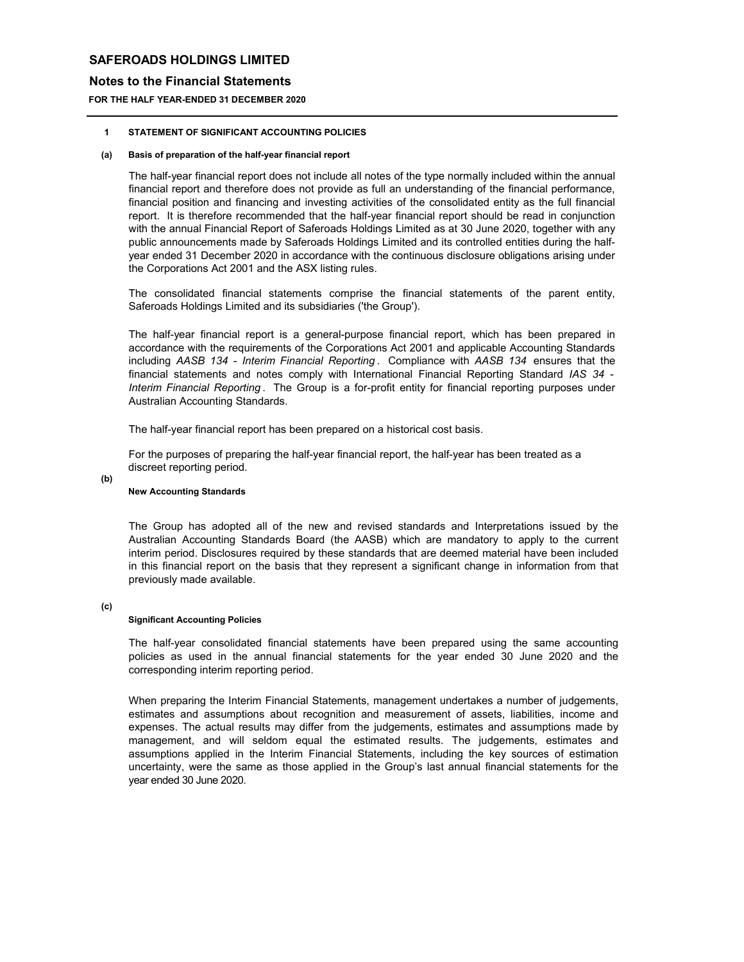### **Notes to the Financial Statements**

**FOR THE HALF YEAR-ENDED 31 DECEMBER 2020**

#### **1 STATEMENT OF SIGNIFICANT ACCOUNTING POLICIES**

#### **(a) Basis of preparation of the half-year financial report**

The half-year financial report does not include all notes of the type normally included within the annual financial report and therefore does not provide as full an understanding of the financial performance, financial position and financing and investing activities of the consolidated entity as the full financial report. It is therefore recommended that the half-year financial report should be read in conjunction with the annual Financial Report of Saferoads Holdings Limited as at 30 June 2020, together with any public announcements made by Saferoads Holdings Limited and its controlled entities during the halfyear ended 31 December 2020 in accordance with the continuous disclosure obligations arising under the Corporations Act 2001 and the ASX listing rules.

The consolidated financial statements comprise the financial statements of the parent entity, Saferoads Holdings Limited and its subsidiaries ('the Group').

The half-year financial report is a general-purpose financial report, which has been prepared in accordance with the requirements of the Corporations Act 2001 and applicable Accounting Standards including *AASB 134 - Interim Financial Reporting* . Compliance with *AASB 134* ensures that the financial statements and notes comply with International Financial Reporting Standard *IAS 34 - Interim Financial Reporting* . The Group is a for-profit entity for financial reporting purposes under Australian Accounting Standards.

The half-year financial report has been prepared on a historical cost basis.

For the purposes of preparing the half-year financial report, the half-year has been treated as a discreet reporting period.

### **(b)**

### **New Accounting Standards**

The Group has adopted all of the new and revised standards and Interpretations issued by the Australian Accounting Standards Board (the AASB) which are mandatory to apply to the current interim period. Disclosures required by these standards that are deemed material have been included in this financial report on the basis that they represent a significant change in information from that previously made available.

### **(c)**

### **Significant Accounting Policies**

The half-year consolidated financial statements have been prepared using the same accounting policies as used in the annual financial statements for the year ended 30 June 2020 and the corresponding interim reporting period.

When preparing the Interim Financial Statements, management undertakes a number of judgements, estimates and assumptions about recognition and measurement of assets, liabilities, income and expenses. The actual results may differ from the judgements, estimates and assumptions made by management, and will seldom equal the estimated results. The judgements, estimates and assumptions applied in the Interim Financial Statements, including the key sources of estimation uncertainty, were the same as those applied in the Group's last annual financial statements for the year ended 30 June 2020.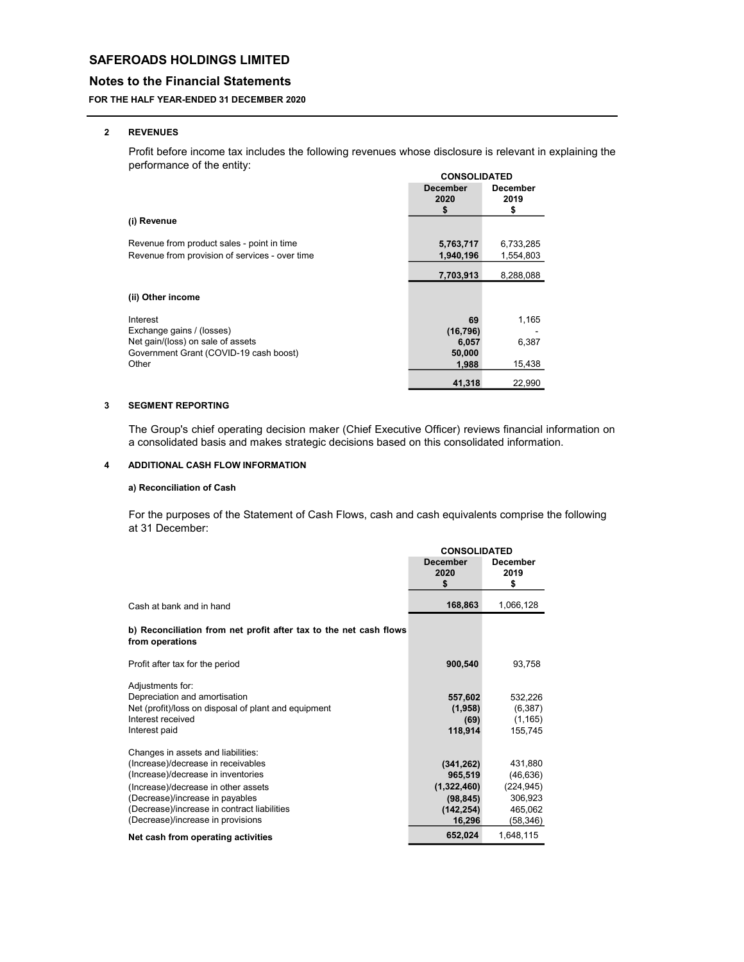### **Notes to the Financial Statements**

### **FOR THE HALF YEAR-ENDED 31 DECEMBER 2020**

#### **2 REVENUES**

Profit before income tax includes the following revenues whose disclosure is relevant in explaining the performance of the entity:

|                                                 | <b>CONSOLIDATED</b>     |                         |
|-------------------------------------------------|-------------------------|-------------------------|
|                                                 | <b>December</b><br>2020 | <b>December</b><br>2019 |
|                                                 | \$                      | \$                      |
| (i) Revenue                                     |                         |                         |
| Revenue from product sales - point in time      | 5,763,717               | 6,733,285               |
| Revenue from provision of services - over time  | 1,940,196               | 1,554,803               |
|                                                 | 7,703,913               | 8,288,088               |
| (ii) Other income                               |                         |                         |
| Interest                                        | 69                      | 1,165                   |
| Exchange gains / (losses)                       | (16, 796)               |                         |
| Net gain/(loss) on sale of assets               | 6,057                   | 6,387                   |
| Government Grant (COVID-19 cash boost)<br>Other | 50,000                  | 15,438                  |
|                                                 | 1,988                   |                         |
|                                                 | 41,318                  | 22,990                  |

#### **3 SEGMENT REPORTING**

The Group's chief operating decision maker (Chief Executive Officer) reviews financial information on a consolidated basis and makes strategic decisions based on this consolidated information.

#### **4 ADDITIONAL CASH FLOW INFORMATION**

### **a) Reconciliation of Cash**

For the purposes of the Statement of Cash Flows, cash and cash equivalents comprise the following at 31 December:

|                                                                                                                                                                                                                                                                              | <b>CONSOLIDATED</b>                                                       |                                                                      |
|------------------------------------------------------------------------------------------------------------------------------------------------------------------------------------------------------------------------------------------------------------------------------|---------------------------------------------------------------------------|----------------------------------------------------------------------|
|                                                                                                                                                                                                                                                                              | <b>December</b><br>2020<br>\$                                             | <b>December</b><br>2019<br>\$                                        |
| Cash at bank and in hand                                                                                                                                                                                                                                                     | 168,863                                                                   | 1,066,128                                                            |
| b) Reconciliation from net profit after tax to the net cash flows<br>from operations                                                                                                                                                                                         |                                                                           |                                                                      |
| Profit after tax for the period                                                                                                                                                                                                                                              | 900,540                                                                   | 93,758                                                               |
| Adjustments for:<br>Depreciation and amortisation<br>Net (profit)/loss on disposal of plant and equipment<br>Interest received<br>Interest paid                                                                                                                              | 557,602<br>(1,958)<br>(69)<br>118,914                                     | 532,226<br>(6, 387)<br>(1, 165)<br>155,745                           |
| Changes in assets and liabilities:<br>(Increase)/decrease in receivables<br>(Increase)/decrease in inventories<br>(Increase)/decrease in other assets<br>(Decrease)/increase in payables<br>(Decrease)/increase in contract liabilities<br>(Decrease)/increase in provisions | (341, 262)<br>965,519<br>(1,322,460)<br>(98, 845)<br>(142, 254)<br>16,296 | 431,880<br>(46, 636)<br>(224, 945)<br>306,923<br>465,062<br>(58,346) |
| Net cash from operating activities                                                                                                                                                                                                                                           | 652,024                                                                   | 1,648,115                                                            |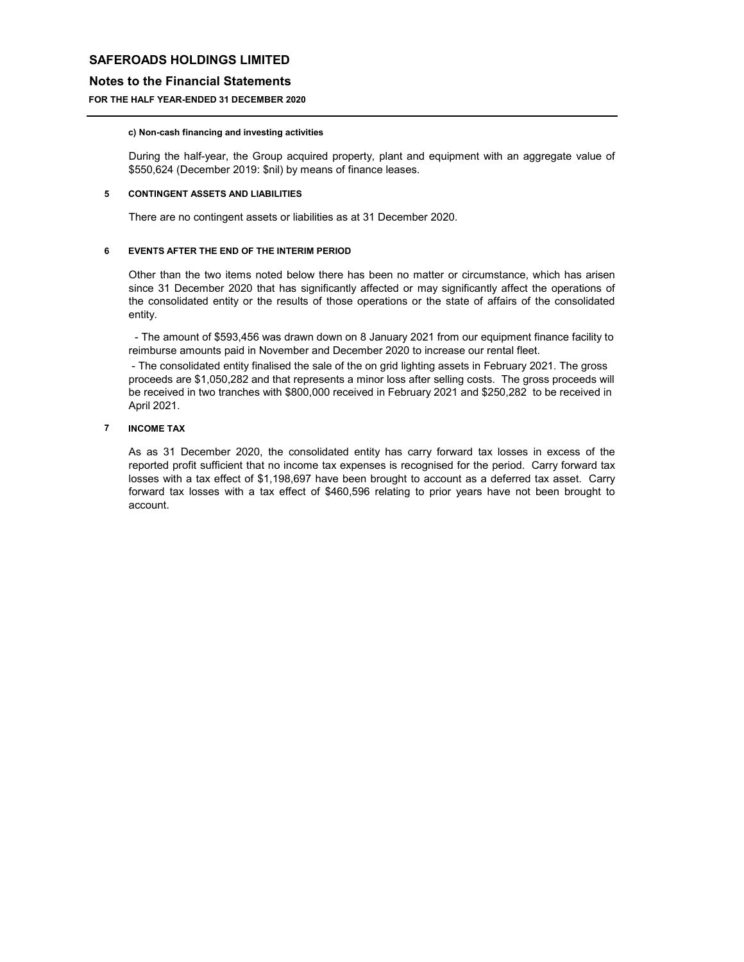### **Notes to the Financial Statements**

### **FOR THE HALF YEAR-ENDED 31 DECEMBER 2020**

### **c) Non-cash financing and investing activities**

During the half-year, the Group acquired property, plant and equipment with an aggregate value of \$550,624 (December 2019: \$nil) by means of finance leases.

#### **5 CONTINGENT ASSETS AND LIABILITIES**

There are no contingent assets or liabilities as at 31 December 2020.

#### **6 EVENTS AFTER THE END OF THE INTERIM PERIOD**

Other than the two items noted below there has been no matter or circumstance, which has arisen since 31 December 2020 that has significantly affected or may significantly affect the operations of the consolidated entity or the results of those operations or the state of affairs of the consolidated entity.

- The amount of \$593,456 was drawn down on 8 January 2021 from our equipment finance facility to reimburse amounts paid in November and December 2020 to increase our rental fleet.

- The consolidated entity finalised the sale of the on grid lighting assets in February 2021. The gross proceeds are \$1,050,282 and that represents a minor loss after selling costs. The gross proceeds will be received in two tranches with \$800,000 received in February 2021 and \$250,282 to be received in April 2021.

### **7 INCOME TAX**

As as 31 December 2020, the consolidated entity has carry forward tax losses in excess of the reported profit sufficient that no income tax expenses is recognised for the period. Carry forward tax losses with a tax effect of \$1,198,697 have been brought to account as a deferred tax asset. Carry forward tax losses with a tax effect of \$460,596 relating to prior years have not been brought to account.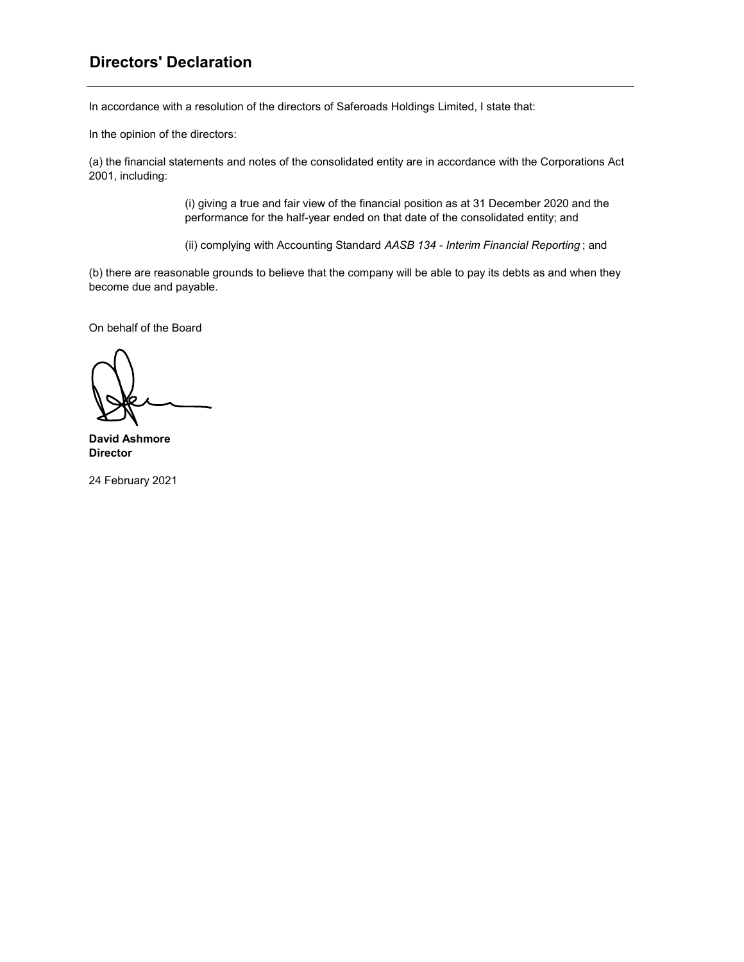## **Directors' Declaration**

In accordance with a resolution of the directors of Saferoads Holdings Limited, I state that:

In the opinion of the directors:

(a) the financial statements and notes of the consolidated entity are in accordance with the Corporations Act 2001, including:

> (i) giving a true and fair view of the financial position as at 31 December 2020 and the performance for the half-year ended on that date of the consolidated entity; and

> (ii) complying with Accounting Standard *AASB 134 - Interim Financial Reporting* ; and

(b) there are reasonable grounds to believe that the company will be able to pay its debts as and when they become due and payable.

On behalf of the Board

**David Ashmore Director**

24 February 2021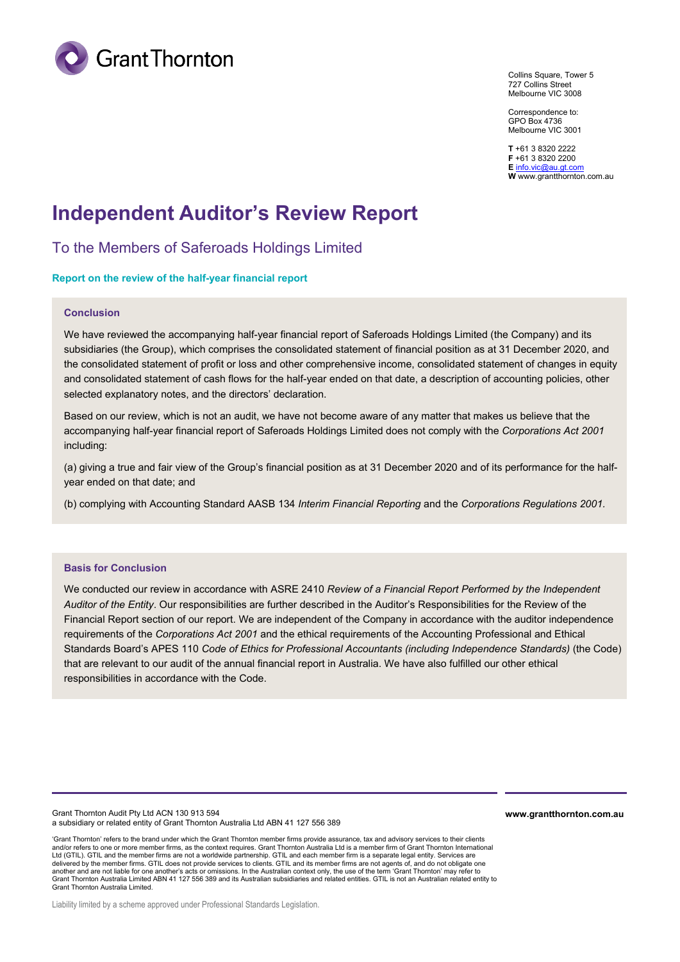

Collins Square, Tower 5 727 Collins Street Melbourne VIC 3008

Correspondence to: GPO Box 4736 Melbourne VIC 3001

**T** +61 3 8320 2222 **F** +61 3 8320 2200 **E** [info.vic@au.gt.com](mailto:info.vic@au.gt.com) **W** www.grantthornton.com.au

# **Independent Auditor's Review Report**

To the Members of Saferoads Holdings Limited

### **Report on the review of the half-year financial report**

### **Conclusion**

We have reviewed the accompanying half-year financial report of Saferoads Holdings Limited (the Company) and its subsidiaries (the Group), which comprises the consolidated statement of financial position as at 31 December 2020, and the consolidated statement of profit or loss and other comprehensive income, consolidated statement of changes in equity and consolidated statement of cash flows for the half-year ended on that date, a description of accounting policies, other selected explanatory notes, and the directors' declaration.

Based on our review, which is not an audit, we have not become aware of any matter that makes us believe that the accompanying half-year financial report of Saferoads Holdings Limited does not comply with the *Corporations Act 2001* including:

(a) giving a true and fair view of the Group's financial position as at 31 December 2020 and of its performance for the halfyear ended on that date; and

(b) complying with Accounting Standard AASB 134 *Interim Financial Reporting* and the *Corporations Regulations 2001.*

### **Basis for Conclusion**

We conducted our review in accordance with ASRE 2410 *Review of a Financial Report Performed by the Independent Auditor of the Entity*. Our responsibilities are further described in the Auditor's Responsibilities for the Review of the Financial Report section of our report. We are independent of the Company in accordance with the auditor independence requirements of the *Corporations Act 2001* and the ethical requirements of the Accounting Professional and Ethical Standards Board's APES 110 *Code of Ethics for Professional Accountants (including Independence Standards)* (the Code) that are relevant to our audit of the annual financial report in Australia. We have also fulfilled our other ethical responsibilities in accordance with the Code.

Grant Thornton Audit Pty Ltd ACN 130 913 594 a subsidiary or related entity of Grant Thornton Australia Ltd ABN 41 127 556 389 **www.grantthornton.com.au**

'Grant Thornton' refers to the brand under which the Grant Thornton member firms provide assurance, tax and advisory services to their clients and/or refers to one or more member firms, as the context requires. Grant Thornton Australia Ltd is a member firm of Grant Thornton International Ltd (GTIL). GTIL and the member firms are not a worldwide partnership. GTIL and each member firm is a separate legal entity. Services are delivered by the member firms. GTIL does not provide services to clients. GTIL and its member firms are not agents of, and do not obligate one another and are not liable for one another's acts or omissions. In the Australian context only, the use of the term 'Grant Thornton' may refer to Grant Thornton Australia Limited ABN 41 127 556 389 and its Australian subsidiaries and related entities. GTIL is not an Australian related entity to Grant Thornton Australia Limited.

Liability limited by a scheme approved under Professional Standards Legislation.